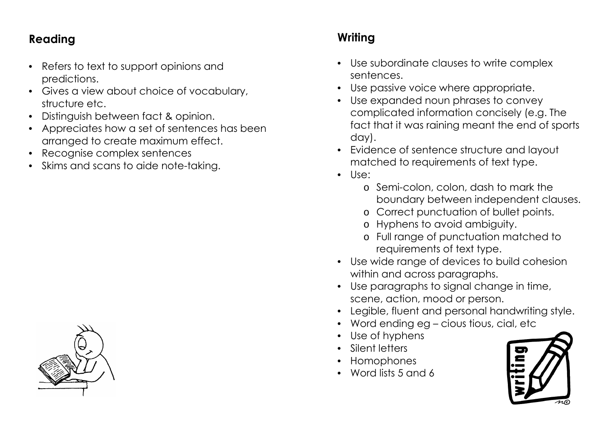## **Reading**

- Refers to text to support opinions and predictions.
- Gives a view about choice of vocabulary, structure etc.
- Distinguish between fact & opinion.
- Appreciates how a set of sentences has been arranged to create maximum effect.
- Recognise complex sentences
- Skims and scans to aide note-taking.

## **Writing**

- Use subordinate clauses to write complex sentences.
- Use passive voice where appropriate.
- Use expanded noun phrases to convey complicated information concisely (e.g. The fact that it was raining meant the end of sports day).
- Evidence of sentence structure and layout matched to requirements of text type.
- Use:
	- o Semi-colon, colon, dash to mark the boundary between independent clauses.
	- o Correct punctuation of bullet points.
	- o Hyphens to avoid ambiguity.
	- o Full range of punctuation matched to requirements of text type.
- Use wide range of devices to build cohesion within and across paragraphs.
- Use paragraphs to signal change in time, scene, action, mood or person.
- Legible, fluent and personal handwriting style.
- Word ending eg cious tious, cial, etc
- Use of hyphens
- Silent letters
- Homophones
- Word lists 5 and 6